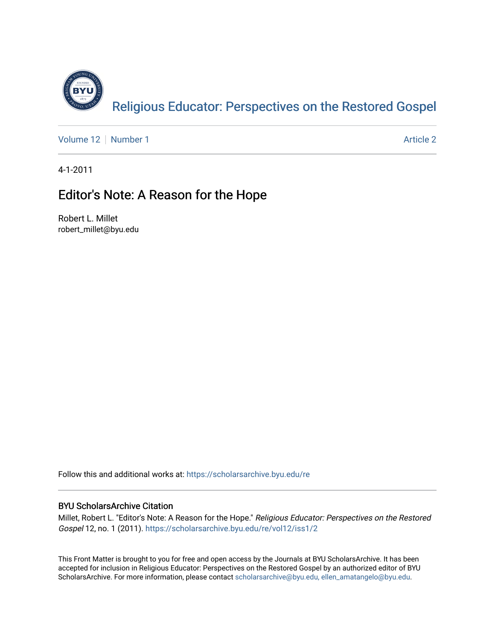

[Volume 12](https://scholarsarchive.byu.edu/re/vol12) [Number 1](https://scholarsarchive.byu.edu/re/vol12/iss1) Article 2

4-1-2011

## Editor's Note: A Reason for the Hope

Robert L. Millet robert\_millet@byu.edu

Follow this and additional works at: [https://scholarsarchive.byu.edu/re](https://scholarsarchive.byu.edu/re?utm_source=scholarsarchive.byu.edu%2Fre%2Fvol12%2Fiss1%2F2&utm_medium=PDF&utm_campaign=PDFCoverPages)

## BYU ScholarsArchive Citation

Millet, Robert L. "Editor's Note: A Reason for the Hope." Religious Educator: Perspectives on the Restored Gospel 12, no. 1 (2011). [https://scholarsarchive.byu.edu/re/vol12/iss1/2](https://scholarsarchive.byu.edu/re/vol12/iss1/2?utm_source=scholarsarchive.byu.edu%2Fre%2Fvol12%2Fiss1%2F2&utm_medium=PDF&utm_campaign=PDFCoverPages)

This Front Matter is brought to you for free and open access by the Journals at BYU ScholarsArchive. It has been accepted for inclusion in Religious Educator: Perspectives on the Restored Gospel by an authorized editor of BYU ScholarsArchive. For more information, please contact [scholarsarchive@byu.edu, ellen\\_amatangelo@byu.edu.](mailto:scholarsarchive@byu.edu,%20ellen_amatangelo@byu.edu)